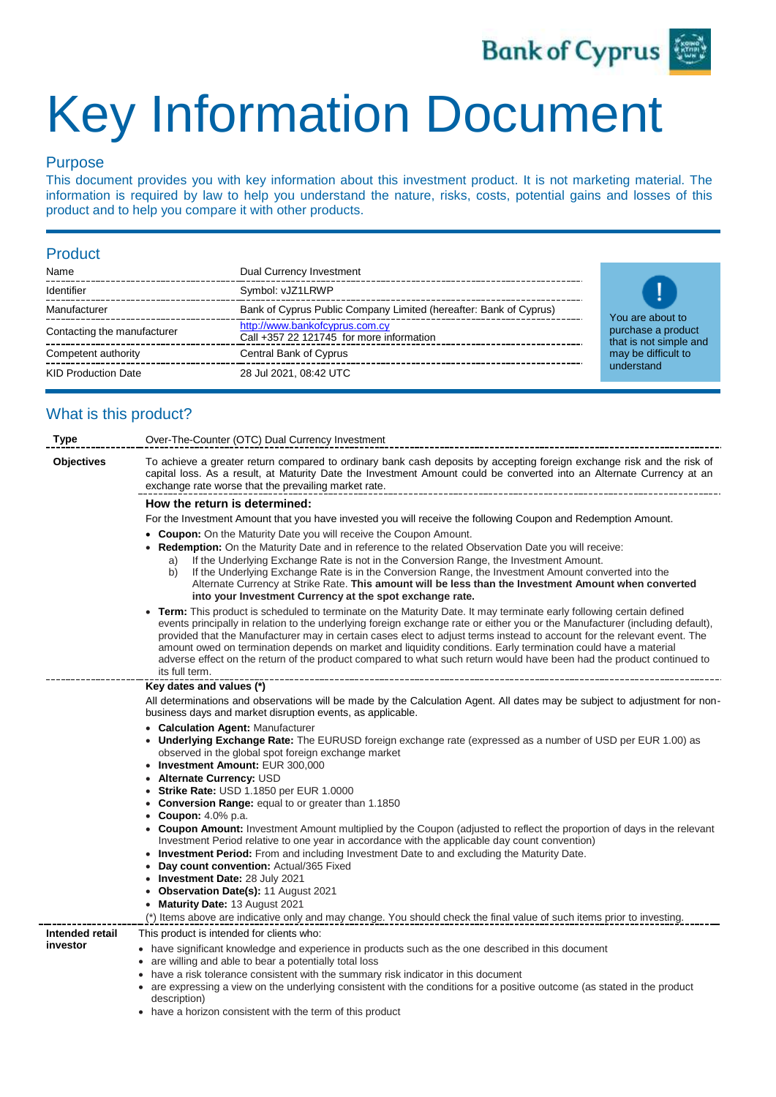

# Key Information Document

## Purpose

This document provides you with key information about this investment product. It is not marketing material. The information is required by law to help you understand the nature, risks, costs, potential gains and losses of this product and to help you compare it with other products.

### Product

| Name                        | Dual Currency Investment                                                   |
|-----------------------------|----------------------------------------------------------------------------|
| Identifier                  | Symbol: vJZ1LRWP                                                           |
| Manufacturer                | Bank of Cyprus Public Company Limited (hereafter: Bank of Cyprus)          |
| Contacting the manufacturer | http://www.bankofcyprus.com.cy<br>Call +357 22 121745 for more information |
| Competent authority         | Central Bank of Cyprus                                                     |
| <b>KID Production Date</b>  | 28 Jul 2021, 08:42 UTC                                                     |



# What is this product?

| <b>Type</b>                 | Over-The-Counter (OTC) Dual Currency Investment                                                                                                                                                                                                                                                                                                                                                                                                                                                                                                                                                                                               |  |  |  |  |
|-----------------------------|-----------------------------------------------------------------------------------------------------------------------------------------------------------------------------------------------------------------------------------------------------------------------------------------------------------------------------------------------------------------------------------------------------------------------------------------------------------------------------------------------------------------------------------------------------------------------------------------------------------------------------------------------|--|--|--|--|
| <b>Objectives</b>           | To achieve a greater return compared to ordinary bank cash deposits by accepting foreign exchange risk and the risk of<br>capital loss. As a result, at Maturity Date the Investment Amount could be converted into an Alternate Currency at an<br>exchange rate worse that the prevailing market rate.                                                                                                                                                                                                                                                                                                                                       |  |  |  |  |
|                             | How the return is determined:                                                                                                                                                                                                                                                                                                                                                                                                                                                                                                                                                                                                                 |  |  |  |  |
|                             | For the Investment Amount that you have invested you will receive the following Coupon and Redemption Amount.                                                                                                                                                                                                                                                                                                                                                                                                                                                                                                                                 |  |  |  |  |
|                             | <b>Coupon:</b> On the Maturity Date you will receive the Coupon Amount.<br>Redemption: On the Maturity Date and in reference to the related Observation Date you will receive:<br>If the Underlying Exchange Rate is not in the Conversion Range, the Investment Amount.<br>a)<br>If the Underlying Exchange Rate is in the Conversion Range, the Investment Amount converted into the<br>b)<br>Alternate Currency at Strike Rate. This amount will be less than the Investment Amount when converted                                                                                                                                         |  |  |  |  |
|                             | into your Investment Currency at the spot exchange rate.                                                                                                                                                                                                                                                                                                                                                                                                                                                                                                                                                                                      |  |  |  |  |
|                             | Term: This product is scheduled to terminate on the Maturity Date. It may terminate early following certain defined<br>events principally in relation to the underlying foreign exchange rate or either you or the Manufacturer (including default),<br>provided that the Manufacturer may in certain cases elect to adjust terms instead to account for the relevant event. The<br>amount owed on termination depends on market and liquidity conditions. Early termination could have a material<br>adverse effect on the return of the product compared to what such return would have been had the product continued to<br>its full term. |  |  |  |  |
|                             | Key dates and values (*)                                                                                                                                                                                                                                                                                                                                                                                                                                                                                                                                                                                                                      |  |  |  |  |
|                             | All determinations and observations will be made by the Calculation Agent. All dates may be subject to adjustment for non-<br>business days and market disruption events, as applicable.                                                                                                                                                                                                                                                                                                                                                                                                                                                      |  |  |  |  |
|                             | <b>Calculation Agent: Manufacturer</b><br>$\bullet$<br><b>Underlying Exchange Rate:</b> The EURUSD foreign exchange rate (expressed as a number of USD per EUR 1.00) as<br>observed in the global spot foreign exchange market                                                                                                                                                                                                                                                                                                                                                                                                                |  |  |  |  |
|                             | • Investment Amount: EUR 300,000<br>Alternate Currency: USD<br>$\bullet$                                                                                                                                                                                                                                                                                                                                                                                                                                                                                                                                                                      |  |  |  |  |
|                             | <b>Strike Rate: USD 1.1850 per EUR 1.0000</b>                                                                                                                                                                                                                                                                                                                                                                                                                                                                                                                                                                                                 |  |  |  |  |
|                             | <b>Conversion Range:</b> equal to or greater than 1.1850                                                                                                                                                                                                                                                                                                                                                                                                                                                                                                                                                                                      |  |  |  |  |
|                             | <b>Coupon:</b> 4.0% p.a.<br><b>Coupon Amount:</b> Investment Amount multiplied by the Coupon (adjusted to reflect the proportion of days in the relevant<br>Investment Period relative to one year in accordance with the applicable day count convention)                                                                                                                                                                                                                                                                                                                                                                                    |  |  |  |  |
|                             | <b>Investment Period:</b> From and including Investment Date to and excluding the Maturity Date.<br>Day count convention: Actual/365 Fixed<br>$\bullet$                                                                                                                                                                                                                                                                                                                                                                                                                                                                                       |  |  |  |  |
|                             | Investment Date: 28 July 2021<br>٠                                                                                                                                                                                                                                                                                                                                                                                                                                                                                                                                                                                                            |  |  |  |  |
|                             | Observation Date(s): 11 August 2021                                                                                                                                                                                                                                                                                                                                                                                                                                                                                                                                                                                                           |  |  |  |  |
|                             | • Maturity Date: 13 August 2021                                                                                                                                                                                                                                                                                                                                                                                                                                                                                                                                                                                                               |  |  |  |  |
|                             | (*) Items above are indicative only and may change. You should check the final value of such items prior to investing.                                                                                                                                                                                                                                                                                                                                                                                                                                                                                                                        |  |  |  |  |
| Intended retail<br>investor | This product is intended for clients who:                                                                                                                                                                                                                                                                                                                                                                                                                                                                                                                                                                                                     |  |  |  |  |
|                             | • have significant knowledge and experience in products such as the one described in this document<br>• are willing and able to bear a potentially total loss                                                                                                                                                                                                                                                                                                                                                                                                                                                                                 |  |  |  |  |
|                             | have a risk tolerance consistent with the summary risk indicator in this document                                                                                                                                                                                                                                                                                                                                                                                                                                                                                                                                                             |  |  |  |  |
|                             | • are expressing a view on the underlying consistent with the conditions for a positive outcome (as stated in the product<br>description)                                                                                                                                                                                                                                                                                                                                                                                                                                                                                                     |  |  |  |  |

• have a horizon consistent with the term of this product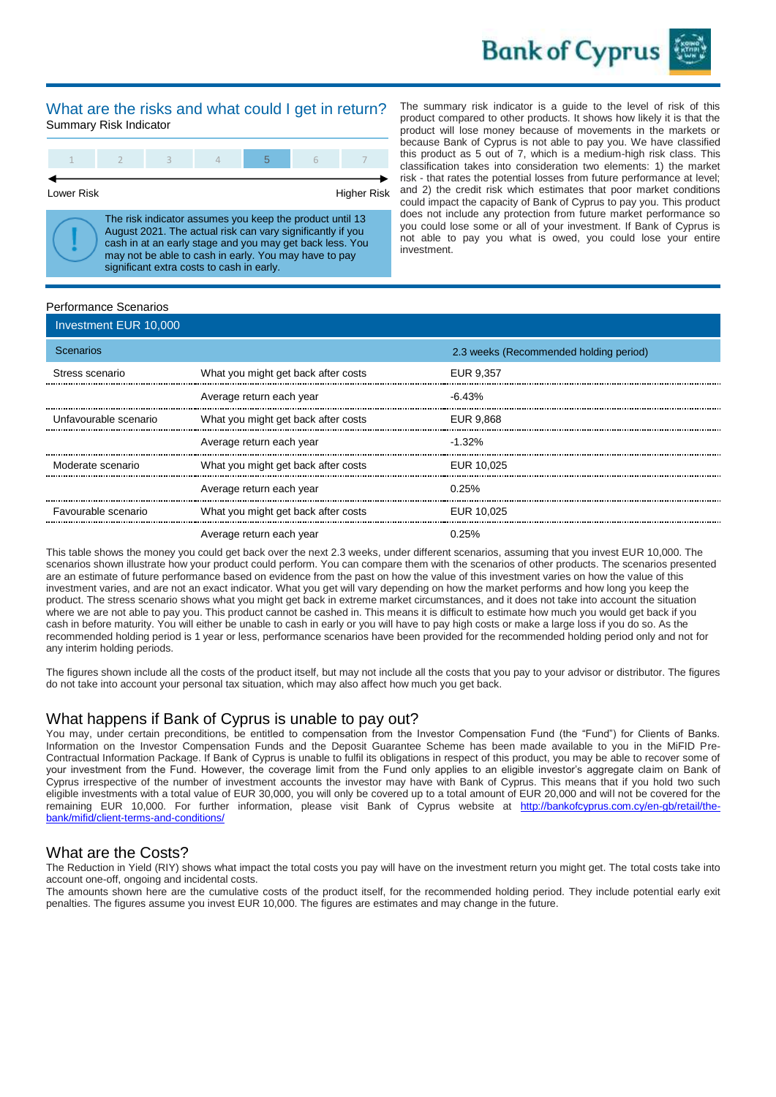

#### What are the risks and what could I get in return? Summary Risk Indicator

Lower Risk **Higher Risk** Higher Risk

The risk indicator assumes you keep the product until 13 August 2021. The actual risk can vary significantly if you cash in at an early stage and you may get back less. You may not be able to cash in early. You may have to pay significant extra costs to cash in early.

The summary risk indicator is a guide to the level of risk of this product compared to other products. It shows how likely it is that the product will lose money because of movements in the markets or because Bank of Cyprus is not able to pay you. We have classified this product as 5 out of 7, which is a medium-high risk class. This classification takes into consideration two elements: 1) the market risk - that rates the potential losses from future performance at level; and 2) the credit risk which estimates that poor market conditions could impact the capacity of Bank of Cyprus to pay you. This product does not include any protection from future market performance so you could lose some or all of your investment. If Bank of Cyprus is not able to pay you what is owed, you could lose your entire investment.

#### Performance Scenarios

|                  | Investment EUR 10,000 |                                     |                                        |  |
|------------------|-----------------------|-------------------------------------|----------------------------------------|--|
| <b>Scenarios</b> |                       |                                     | 2.3 weeks (Recommended holding period) |  |
|                  | Stress scenario       | What you might get back after costs | EUR 9.357                              |  |
|                  |                       | Average return each year            | $-6.43%$                               |  |
|                  | Unfavourable scenario | What you might get back after costs | EUR 9,868                              |  |
|                  |                       | Average return each year            | $-1.32\%$                              |  |
|                  | Moderate scenario     | What you might get back after costs | EUR 10.025                             |  |
|                  |                       | Average return each year            | $0.25\%$                               |  |
|                  | Favourable scenario   | What you might get back after costs | EUR 10.025                             |  |
|                  |                       | Average return each year            | 0.25%                                  |  |

This table shows the money you could get back over the next 2.3 weeks, under different scenarios, assuming that you invest EUR 10,000. The scenarios shown illustrate how your product could perform. You can compare them with the scenarios of other products. The scenarios presented are an estimate of future performance based on evidence from the past on how the value of this investment varies on how the value of this investment varies, and are not an exact indicator. What you get will vary depending on how the market performs and how long you keep the product. The stress scenario shows what you might get back in extreme market circumstances, and it does not take into account the situation where we are not able to pay you. This product cannot be cashed in. This means it is difficult to estimate how much you would get back if you cash in before maturity. You will either be unable to cash in early or you will have to pay high costs or make a large loss if you do so. As the recommended holding period is 1 year or less, performance scenarios have been provided for the recommended holding period only and not for any interim holding periods.

The figures shown include all the costs of the product itself, but may not include all the costs that you pay to your advisor or distributor. The figures do not take into account your personal tax situation, which may also affect how much you get back.

#### What happens if Bank of Cyprus is unable to pay out?

You may, under certain preconditions, be entitled to compensation from the Investor Compensation Fund (the "Fund") for Clients of Banks. Information on the Investor Compensation Funds and the Deposit Guarantee Scheme has been made available to you in the MiFID Pre-Contractual Information Package. If Bank of Cyprus is unable to fulfil its obligations in respect of this product, you may be able to recover some of your investment from the Fund. However, the coverage limit from the Fund only applies to an eligible investor's aggregate claim on Bank of Cyprus irrespective of the number of investment accounts the investor may have with Bank of Cyprus. This means that if you hold two such eligible investments with a total value of EUR 30,000, you will only be covered up to a total amount of EUR 20,000 and will not be covered for the remaining EUR 10,000. For further information, please visit Bank of Cyprus website at [http://bankofcyprus.com.cy/en-gb/retail/the](http://bankofcyprus.com.cy/en-gb/retail/the-bank/mifid/client-terms-and-conditions)[bank/mifid/client-terms-and-conditions/](http://bankofcyprus.com.cy/en-gb/retail/the-bank/mifid/client-terms-and-conditions)

#### What are the Costs?

The Reduction in Yield (RIY) shows what impact the total costs you pay will have on the investment return you might get. The total costs take into account one-off, ongoing and incidental costs.

The amounts shown here are the cumulative costs of the product itself, for the recommended holding period. They include potential early exit penalties. The figures assume you invest EUR 10,000. The figures are estimates and may change in the future.